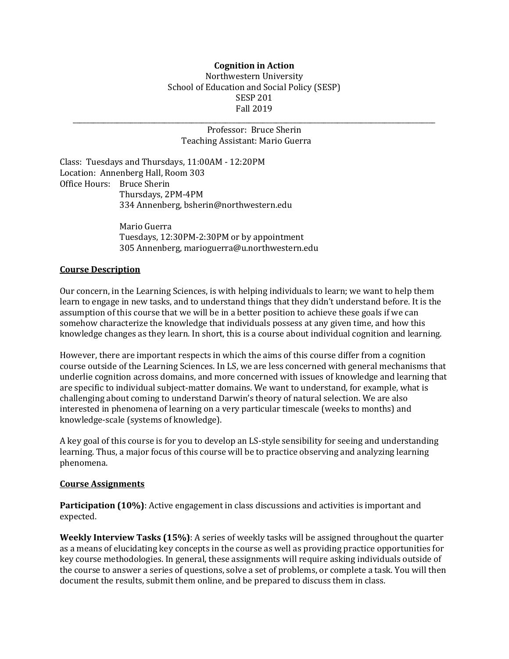### **Cognition in Action** Northwestern University School of Education and Social Policy (SESP) **SESP 201** Fall 2019

\_\_\_\_\_\_\_\_\_\_\_\_\_\_\_\_\_\_\_\_\_\_\_\_\_\_\_\_\_\_\_\_\_\_\_\_\_\_\_\_\_\_\_\_\_\_\_\_\_\_\_\_\_\_\_\_\_\_\_\_\_\_\_\_\_\_\_\_\_\_\_\_\_\_\_\_\_\_\_\_\_\_\_\_\_\_\_\_\_\_\_\_\_\_\_\_\_\_\_\_\_\_\_\_\_\_\_

#### Professor: Bruce Sherin Teaching Assistant: Mario Guerra

Class: Tuesdays and Thursdays, 11:00AM - 12:20PM Location: Annenberg Hall, Room 303 Office Hours: Bruce Sherin Thursdays, 2PM-4PM 334 Annenberg, bsherin@northwestern.edu

> Mario Guerra Tuesdays, 12:30PM-2:30PM or by appointment 305 Annenberg, marioguerra@u.northwestern.edu

### **Course Description**

Our concern, in the Learning Sciences, is with helping individuals to learn; we want to help them learn to engage in new tasks, and to understand things that they didn't understand before. It is the assumption of this course that we will be in a better position to achieve these goals if we can somehow characterize the knowledge that individuals possess at any given time, and how this knowledge changes as they learn. In short, this is a course about individual cognition and learning.

However, there are important respects in which the aims of this course differ from a cognition course outside of the Learning Sciences. In LS, we are less concerned with general mechanisms that underlie cognition across domains, and more concerned with issues of knowledge and learning that are specific to individual subject-matter domains. We want to understand, for example, what is challenging about coming to understand Darwin's theory of natural selection. We are also interested in phenomena of learning on a very particular timescale (weeks to months) and knowledge-scale (systems of knowledge).

A key goal of this course is for you to develop an LS-style sensibility for seeing and understanding learning. Thus, a major focus of this course will be to practice observing and analyzing learning phenomena.

#### **Course Assignments**

**Participation (10%)**: Active engagement in class discussions and activities is important and expected. 

**Weekly Interview Tasks (15%)**: A series of weekly tasks will be assigned throughout the quarter as a means of elucidating key concepts in the course as well as providing practice opportunities for key course methodologies. In general, these assignments will require asking individuals outside of the course to answer a series of questions, solve a set of problems, or complete a task. You will then document the results, submit them online, and be prepared to discuss them in class.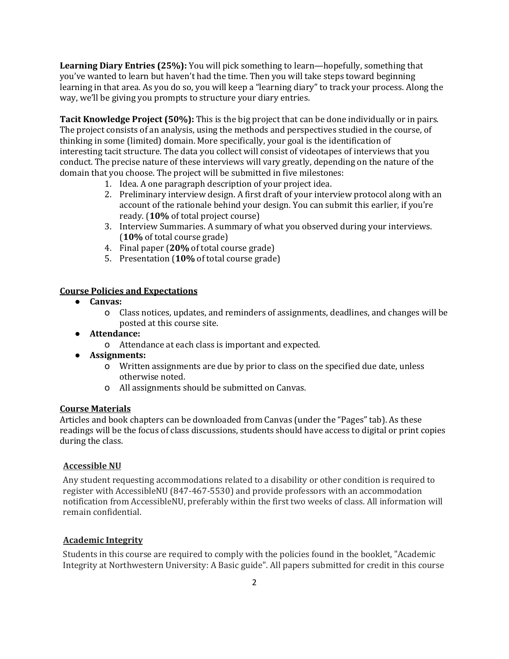**Learning Diary Entries (25%):** You will pick something to learn—hopefully, something that you've wanted to learn but haven't had the time. Then you will take steps toward beginning learning in that area. As you do so, you will keep a "learning diary" to track your process. Along the way, we'll be giving you prompts to structure your diary entries.

Tacit Knowledge Project (50%): This is the big project that can be done individually or in pairs. The project consists of an analysis, using the methods and perspectives studied in the course, of thinking in some (limited) domain. More specifically, your goal is the identification of interesting tacit structure. The data you collect will consist of videotapes of interviews that you conduct. The precise nature of these interviews will vary greatly, depending on the nature of the domain that you choose. The project will be submitted in five milestones:

- 1. Idea. A one paragraph description of your project idea.
- 2. Preliminary interview design. A first draft of your interview protocol along with an account of the rationale behind your design. You can submit this earlier, if you're ready. (10% of total project course)
- 3. Interview Summaries. A summary of what you observed during your interviews. (**10%** of total course grade)
- 4. Final paper (20% of total course grade)
- 5. Presentation (10% of total course grade)

#### **Course Policies and Expectations**

- **Canvas:** 
	- o Class notices, updates, and reminders of assignments, deadlines, and changes will be posted at this course site.
- **Attendance:**
	- o Attendance at each class is important and expected.
- **Assignments:**
	- o Written assignments are due by prior to class on the specified due date, unless otherwise noted.
	- o All assignments should be submitted on Canvas.

#### **Course Materials**

Articles and book chapters can be downloaded from Canvas (under the "Pages" tab). As these readings will be the focus of class discussions, students should have access to digital or print copies during the class.

#### **Accessible NU**

Any student requesting accommodations related to a disability or other condition is required to register with AccessibleNU (847-467-5530) and provide professors with an accommodation notification from AccessibleNU, preferably within the first two weeks of class. All information will remain confidential.

#### **Academic Integrity**

Students in this course are required to comply with the policies found in the booklet, "Academic Integrity at Northwestern University: A Basic guide". All papers submitted for credit in this course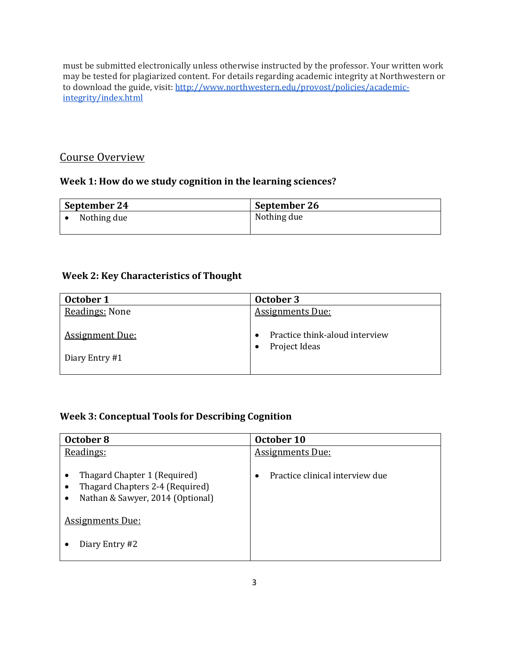must be submitted electronically unless otherwise instructed by the professor. Your written work may be tested for plagiarized content. For details regarding academic integrity at Northwestern or to download the guide, visit: http://www.northwestern.edu/provost/policies/academicintegrity/index.html

# Course Overview

## Week 1: How do we study cognition in the learning sciences?

| September 24 | September 26 |
|--------------|--------------|
| Nothing due  | Nothing due  |
|              |              |

## **Week 2: Key Characteristics of Thought**

| October 1                                | October 3                                       |
|------------------------------------------|-------------------------------------------------|
| Readings: None                           | <b>Assignments Due:</b>                         |
| <b>Assignment Due:</b><br>Diary Entry #1 | Practice think-aloud interview<br>Project Ideas |

## **Week 3: Conceptual Tools for Describing Cognition**

| October 8                                                                                                                                        | October 10                      |
|--------------------------------------------------------------------------------------------------------------------------------------------------|---------------------------------|
| Readings:                                                                                                                                        | <b>Assignments Due:</b>         |
| Thagard Chapter 1 (Required)<br>٠<br>Thagard Chapters 2-4 (Required)<br>Nathan & Sawyer, 2014 (Optional)<br>$\bullet$<br><b>Assignments Due:</b> | Practice clinical interview due |
|                                                                                                                                                  |                                 |
| Diary Entry #2                                                                                                                                   |                                 |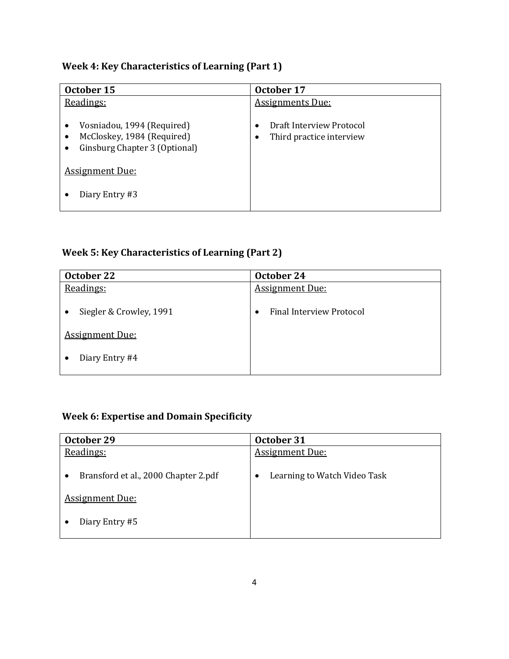# **Week 4: Key Characteristics of Learning (Part 1)**

| October 15                                                                                | October 17                                           |
|-------------------------------------------------------------------------------------------|------------------------------------------------------|
| Readings:                                                                                 | <b>Assignments Due:</b>                              |
| Vosniadou, 1994 (Required)<br>McCloskey, 1984 (Required)<br>Ginsburg Chapter 3 (Optional) | Draft Interview Protocol<br>Third practice interview |
| <b>Assignment Due:</b>                                                                    |                                                      |
| Diary Entry #3                                                                            |                                                      |

# **Week 5: Key Characteristics of Learning (Part 2)**

| October 22              | October 24                                   |
|-------------------------|----------------------------------------------|
| Readings:               | <b>Assignment Due:</b>                       |
| Siegler & Crowley, 1991 | <b>Final Interview Protocol</b><br>$\bullet$ |
| <b>Assignment Due:</b>  |                                              |
| Diary Entry #4          |                                              |

# **Week 6: Expertise and Domain Specificity**

| October 29                           | October 31                                |
|--------------------------------------|-------------------------------------------|
| Readings:                            | <b>Assignment Due:</b>                    |
| Bransford et al., 2000 Chapter 2.pdf | Learning to Watch Video Task<br>$\bullet$ |
| <b>Assignment Due:</b>               |                                           |
| Diary Entry #5                       |                                           |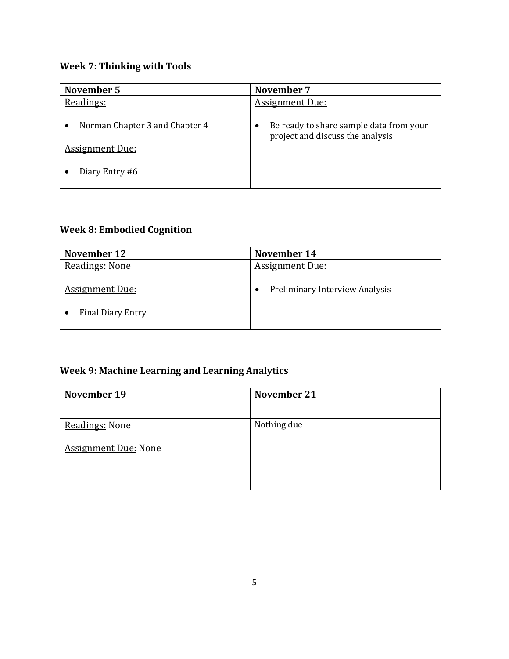# **Week 7: Thinking with Tools**

| November 5                                                                 | November 7                                                                  |
|----------------------------------------------------------------------------|-----------------------------------------------------------------------------|
| Readings:                                                                  | <b>Assignment Due:</b>                                                      |
| Norman Chapter 3 and Chapter 4<br><b>Assignment Due:</b><br>Diary Entry #6 | Be ready to share sample data from your<br>project and discuss the analysis |

## **Week 8: Embodied Cognition**

| November 12                                        | November 14                         |
|----------------------------------------------------|-------------------------------------|
| Readings: None                                     | <b>Assignment Due:</b>              |
| <b>Assignment Due:</b><br><b>Final Diary Entry</b> | Preliminary Interview Analysis<br>٠ |

# **Week 9: Machine Learning and Learning Analytics**

| November 19                 | November 21 |
|-----------------------------|-------------|
|                             |             |
| Readings: None              | Nothing due |
| <b>Assignment Due: None</b> |             |
|                             |             |